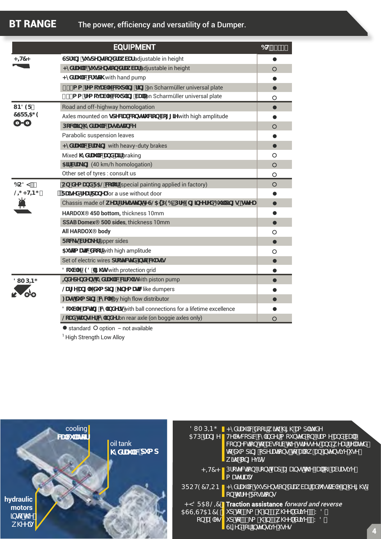|                                 | <b>EQUIPMENT</b>                                                                                                            | 6H% #&) |
|---------------------------------|-----------------------------------------------------------------------------------------------------------------------------|---------|
| <#7<                            | Gdfi b[ gi gdYbg]cb XfLk VUf adjustable in height                                                                           |         |
|                                 | <r `]="" adjustable="" gd="" height<="" in="" td="" vuf="" wgi="" xfu="" xfuk="" ybg]cb=""><td>O</td></r>                   | O       |
|                                 | <mxfu `jwwm="" hand="" hw="" pump<="" td="" with=""><td></td></mxfu>                                                        |         |
|                                 | 5) \$a a fYa cj UVY Vdi d']b[ f]b[ on Scharmüller universal plate                                                           |         |
|                                 | , \$a a 'fYa cj UVY Wzi d']b[ VU`'on Scharmüller universal plate                                                            | O       |
| 1B89F<br>75FF-5; 9<br>0-0       | Road and off-highway homologation                                                                                           |         |
|                                 | Axles mounted on gdYVJU Vtbgrfi Vjcb Vc[[]Y with high amplitude                                                             |         |
|                                 | DcWUJb \nXfU `]WUgg]gHJbW                                                                                                   | O       |
|                                 | Parabolic suspension leaves                                                                                                 |         |
|                                 | <nxfu `mvfu_]b[="" brakes<="" heavy-duty="" td="" with=""><td></td></nxfu>                                                  |         |
|                                 | Mixed \nXfU `JWLbX Ujf braking                                                                                              | O       |
|                                 | 5]f VfU_]b[ (40 km/h homologation)                                                                                          | $\circ$ |
|                                 | Other set of tyres : consult us                                                                                             | O       |
| 6C8M#<br>$@{\Rightarrow}$ < HB; | Cb! XYa UbXF5@Vt'cf (special painting applied in factory)                                                                   | $\circ$ |
|                                 | FUgyX fYUf dUbY for a use without door                                                                                      |         |
|                                 | Chassis made of k YUI! fYglgHYbh <g@5' 6i="" 9b[="" ]="" ]byyfyx="" d96="" fdfy="" głghy<="" td="" xjb[=""><td></td></g@5'> |         |
|                                 | HARDOX® 450 bottom, thickness 10mm                                                                                          |         |
|                                 | SSAB Domex® 500 sides, thickness 10mm                                                                                       |         |
|                                 | All HARDOX <sup>®</sup> body                                                                                                | O       |
|                                 | FcVVgVfYU_Yf upper sides                                                                                                    |         |
|                                 | 5i hca UHWKccf with high amplitude                                                                                          | O       |
|                                 | Set of electric wires dfchWMX Jbhc WUg]g                                                                                    |         |
|                                 | 8ci VY@98"][\ligwith protection grid                                                                                        |         |
| 8I AD-B:                        | <b>EXYdYbXYbh\nXfU `JWWfWJhwith piston pump</b>                                                                             |         |
|                                 | @Uf[YUb[`Y`Xi a d]b[ _]bYa Ur]Wike dumpers                                                                                  |         |
|                                 | : UghXi a d]b[ VuWW by high flow distributor                                                                                |         |
|                                 | 8ci VY! UVIIb[ VInibXYfg with ball connections for a lifetime excellence                                                    |         |
|                                 | @CUX HUbgZYf VthjbXYf on rear axle (on boggie axles only)                                                                   | $\circ$ |

● standard O option - not available

<sup>1</sup> High Strength Low Alloy

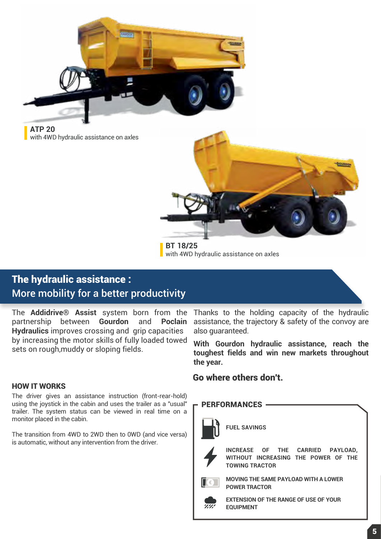

**ATP 20** with 4WD hydraulic assistance on axles



**BT 18/25** with 4WD hydraulic assistance on axles

## The hydraulic assistance : More mobility for a better productivity

The **Addidrive® Assist** system born from the partnership between **Gourdon** and **Poclain Hydraulics** improves crossing and grip capacities by increasing the motor skills of fully loaded towed sets on rough,muddy or sloping fields.

#### HOW IT WORKS

The driver gives an assistance instruction (front-rear-hold) using the joystick in the cabin and uses the trailer as a "usual" trailer. The system status can be viewed in real time on a monitor placed in the cabin.

The transition from 4WD to 2WD then to 0WD (and vice versa) is automatic, without any intervention from the driver.

Thanks to the holding capacity of the hydraulic assistance, the trajectory & safety of the convoy are also guaranteed.

**With Gourdon hydraulic assistance, reach the toughest fields and win new markets throughout the year.**

#### Go where others don't.